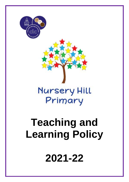# **Teaching and Learning Policy 2021-22**

# **Nursery Hill** Primary



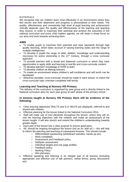#### RATIONALE

We recognise that our children learn most effectively in an environment where they feel secure and their attainment and progress is personalised to their needs. The quality, effectiveness and consistently high level of pupil learning and achievement critically depends upon the quality and effectiveness of the learning and teaching they receive. In order to maximise their potential and achieve the outcomes in the national curriculum and every child matters agenda, we will retain a sharp focus on our aims and work towards achieving them.

# **AIMS**

- To enable pupils to maximise their potential and raise standards through high quality teaching, which takes account of varying learning styles and the range of multiple intelligences.
- To develop in pupils the range of skills, abilities, knowledge and understanding necessary for active citizenship in the 21st Century, through a cross curricular approach.
- To provide learners with a broad and balanced curriculum in which they have opportunities to apply skills and learning to real life and cross-curricular content.
- To develop learners' knowledge of HOW to learn.
- To develop children as lifelong learners.
- To create an environment where children's self-confidence and self worth can be developed.
- Wherever possible, cross-curricular should be made in each lesson, to match the cross-curricular topic overview completed half termly.

# **Learning and Teaching at Nursery Hill Primary**

The delivery of the curriculum is organised by year group and is directly linked to the National curriculum aims for each year group at each phase of the primary school.

# **In lessons taught at Nursery Hill Primary there will be evidence of the following:**

- Clear learning objectives/ WALTS and S.C/ WILFS are displayed, referred to and shared with children.
- Effective planning for the lesson linked to the National Curriculum 2014.
- Staff will make use of mini plenaries throughout the lesson, where they will revisit the learning objectives with the children and make an assessment of the lesson taught. It will also stretch and extend the children's understanding towards greater depth.
- Each part of the lesson has a clear purpose to ensure good pace.
- AfL should be ongoing throughout the lesson (not as an 'add on') this will help to inform the planning and teaching of subsequent lessons. This should include:
	- o Differentiated questioning (whiteboard activities, hands up etc).
	- o Work completed.
	- o Assessment and Feedback policy.
	- o Self/peer assessment
	- o Individual targets and one page profiles
	- o Feedback policy
	- o Marking Policy
	- o Mini plenaries.
- Effective speaking and listening is an integral part of all lessons (including appropriate and effective use of talk partners, verbal tennis, group discussions etc).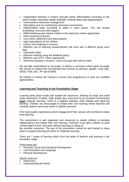- Independent learning is evident (through being differentiated according to the child's needs, resources readily available, working walls used appropriately).
- Good positive classroom management.
- Stimulating and not overbearing classroom environment
- Differentiated tasks according to ability in each lesson. This will include scaffolding, resources and support.
- Differentiated groups clearly evident in the classroom where appropriate.
- Direct teaching of groups
- Use of prior attainment and data analysis
- High expectations of the children.
- Choice and challenge in lessons.
- Effective use of teaching assistants(who will work with a different group each day)
- Homework tasks.
- Effective marking using the feedback policy.
- Effective use of ICT, where appropriate.
- Wherever possible in lessons, cross-curricular links will be made.

We set high expectations for all pupils, to deliver a curriculum which gives all pupils the chance to realise their full potential and monitor by ethnicity, gender, more able, SEND, FSM, EAL, PP and EVER6.

All children in school are tracked to ensure that programmes of work are modified appropriately.

# **Learning and Teaching in the Foundation Stage**

Learning takes place inside and outside the classroom, allowing for large and small scale exploration of ideas. High quality play resourced by an excellent environment **must** underpin learning. There is a balance between child initiated and adult led learning. Children are encouraged to initiate their own learning where teachers will carefully observe and know when to skilfully intervene.

First hand quality experiences which engage all of their senses will contribute to deep level learning.

The environment is well organised and resourced to enable children to develop independence and initiate their own learning. Teachers must allow children to work uninterrupted at their own pace without imposing a ceiling on

the possible outcomes. The eye of the practitioner should be well trained to know when to support learning and when to challenge learning.

There are 7 areas of learning which form the basis of teacher and learning in the foundation stage.

Prime areas are:

- Personal, Social and Emotional Development.
- Communication and Language
- Physical Development

Specific areas are:

- **Mathematics**
- Understanding the World.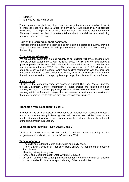- Literacy
- Expressive Arts and Design

These areas are taught though topics and are integrated wherever possible. In fact it is often the case that several areas of learning will take place in a well planned experience. The importance of child initiated free flow play is not undermined. Planning is based on what observations tell us about how children are developing and what they need to excel.

#### **Role of the learning support assistant.**

Practitioners work as part of a team and all have high expectations in all that they do. All practitioners are involved in making observations of children and contributing to the planning.

#### **Organisation of groups**

We are acutely aware that a small minority of our children will arrive at school with little pre-school experience as well as EAL needs. To this end we have placed a great emphasis on the adult child relationship. We seek to maintain a teacher and teaching assistant in our EYFS class. The adults who teach in EYFS will pay close attention to developing a secure, warm and positive relationship with the child and the parent. If there are any concerns about any child at risk of under achievement, this will be monitored and the appropriate support put into place within a time frame.

#### **Assessment**

Children in the foundation stage are assessed against The Early Years Outcomes through Classroom Monitor. Information for these profiles are collected in digital learning journeys. The learning journeys contain detailed information on each child's learning within the foundation stage, their achievements, attainment and next steps that practitioners will do to help learning and development progress.

# **Transition from Reception to Year 1**

In order to give children a positive experience of transition from reception to year 1 and to promote continuity in learning, the period of transition will be based on the needs of the cohort. A move to more formal curriculum will take place in the latter half of the summer term in reception.

# **Learning and teaching – Key Stage 1 and 2**

Children in these phases will be taught formal curriculum according to the programmes of studies in the National Curriculum 2014.

# **Time allocations**

- The children are taught Maths and English on a daily basis.
- There is a daily session of Phonics or Basic skills/GPS (depending on needs of the children).
- Reading is taught every day.
- SMSC and Music are taught weekly, with MFL in KS2.
- All other subjects will be taught through half termly topics and may be 'blocked' on the timetable if this is more appropriate eg: Science and KUW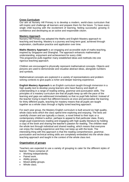#### **Cross Curriculum**

Our aim at Nursery Hill Primary is to develop a modern, world-class curriculum that will inspire and challenge all learners and prepare them for the future. To have every single child buzzing with the excitement of learning, feeling successful, growing in confidence and developing as an active and responsible citizen.

#### **Mastery Approach**

Nursery Hill Primary has adopted the Maths and English Mastery approach to teaching and learning. Mastery is a journey and long-term goal, achieved through exploration, clarification practice and application over time.

**Maths Mastery Approach** is an engaging and accessible style of maths teaching, inspired by Singapore and Shanghai. The approach enhances mathematical understanding, enjoyment and achievement for every child. This programme pulls together many established ideas and methods into one rigorous teaching approach.

Children are encouraged to physically represent mathematical concepts. Objects and pictures are used to demonstrate and visualise abstract ideas, alongside numbers and symbols.

Mathematical concepts are explored in a variety of representations and problem solving contexts to give pupils a richer and deeper learning experience.

**English Mastery Approach** is an English curriculum taught through immersion in a high quality text to develop young learners who have fluency and depth of understanding in a range of reading writing, grammar and punctuation skills. The principles of a mastery curriculum are that all pupils keep up with the pace of the learning and gaps are addressed immediately so that no pupil falls behind. Instead of the teacher trying to teach five different lessons at once and personalise the learning for thirty different pupils, teaching for mastery means that all pupils are taught together as a whole class through a highly tuned teaching approach.

For each year group, the Mastery English curriculum is built around six high quality, whole class texts which the class spend time exploring and enjoying. The texts are carefully chosen and are typically a classic, a novel linked to their topic or a contemporary children's author, perhaps to appeal to that particular class. Every single pupil experiences reading and engaging with high quality literature by holding a copy of the book and sharing the teacher's passion for reading. The children read the whole text through individual and shared reading, which means that everyone can enjoy the reading experience and they can keep up with the book. The interesting thing with this approach is that the reading comprehension, grammar, punctuation and technical writing skills are completely embedded into the whole class teaching approach and taught in the context of the whole class text.

# **Organisation of groups**

Teachers are expected to use a variety of grouping to cater for the different styles of learner. These comprise of:

- Working independently.
- Paired work.
- Ability groups.
- Mixed ability groups.
- Whole class.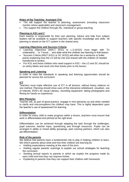# **Roles of the Teaching Assistant (TA)**

- TAs will support the teacher in planning, assessment (including classroom monitor where applicable) and classroom management.
- TAs support the children through AfL, individual or group teaching.

#### **Planning in KS1 and 2**

Each teacher is responsible for their own planning. Advice and help from subject leaders will be available to support teachers with specific knowledge and skills. All planning is stored on the ICT system in the shared area.

#### **Learning Objectives and Success Criteria**

- Learning Objectives (WALT (KS1) or L.O.(KS2)) must begin with 'To understand…' or 'I know…' and state what the children are learning in that lesson.
- Success Criteria (WILF (KS1) or SC (KS2)) will either be a sentence or bullet points explaining how the LO will be met and shared with the children (if needed transferred to books)
- For KS1 and those children who need support in KS2 the LO and SC should be on sticky labels and stuck into their books prior to the lesson.

# **Speaking and Listening**

In order to raise the standards in speaking and listening opportunities should be planned for across the curriculum.

#### **ICT**

Teachers must make effective use of ICT in all lessons, without heavy reliance on one method. Planning should show uses of the interactive whiteboard, visualiser, use of Internet, DVD's for visual Literacy, recording equipment, taking photographs and filming for hands on experience.

#### **Mini Plenaries**

Teacher will, as part of good practice, engage in mini plenaries as and when needed to clarify and misconceptions the children may have. This is highly dependent upon the teacher's use of assessment for learning.

#### **Differentiation**

In order for every child to make progress within a lesson, teachers must ensure that work is differentiated and pitched at the right level.

Differentiation can be achieved through adapting the task through the challenges, pupil outcome, teacher input, questioning and through resources. Pupils can be arranged in ability or mixed ability groupings, peer tutoring partners, which can also aid differentiation.

# **Role of the parents**

We believe that parents have a fundamental role to play in helping children to learn. We inform parents about what and how their children are learning by:

- Holding expectations meeting at the start of the term.
- Holding regular parents' evenings to explain our school strategies for teaching the curriculum.
- Sending annual reports to parents in which we explain the progress made by each child and how they can improve further.
- Explaining to parents how they can support their children with homework.